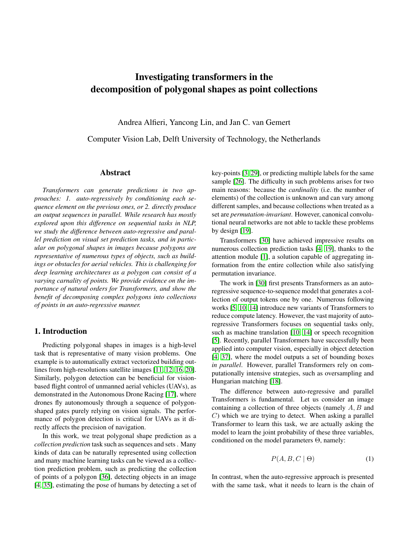# Investigating transformers in the decomposition of polygonal shapes as point collections

Andrea Alfieri, Yancong Lin, and Jan C. van Gemert

Computer Vision Lab, Delft University of Technology, the Netherlands

# Abstract

*Transformers can generate predictions in two approaches: 1. auto-regressively by conditioning each sequence element on the previous ones, or 2. directly produce an output sequences in parallel. While research has mostly explored upon this difference on sequential tasks in NLP, we study the difference between auto-regressive and parallel prediction on visual set prediction tasks, and in particular on polygonal shapes in images because polygons are representative of numerous types of objects, such as buildings or obstacles for aerial vehicles. This is challenging for deep learning architectures as a polygon can consist of a varying carnality of points. We provide evidence on the importance of natural orders for Transformers, and show the benefit of decomposing complex polygons into collections of points in an auto-regressive manner.*

## 1. Introduction

Predicting polygonal shapes in images is a high-level task that is representative of many vision problems. One example is to automatically extract vectorized building outlines from high-resolutions satellite images [\[11,](#page-8-0) [12,](#page-8-1) [16,](#page-8-2) [20\]](#page-8-3). Similarly, polygon detection can be beneficial for visionbased flight control of unmanned aerial vehicles (UAVs), as demonstrated in the Autonomous Drone Racing [\[17\]](#page-8-4), where drones fly autonomously through a sequence of polygonshaped gates purely relying on vision signals. The performance of polygon detection is critical for UAVs as it directly affects the precision of navigation.

In this work, we treat polygonal shape prediction as a *collection prediction* task such as sequences and sets . Many kinds of data can be naturally represented using collection and many machine learning tasks can be viewed as a collection prediction problem, such as predicting the collection of points of a polygon [\[36\]](#page-8-5), detecting objects in an image [\[4,](#page-7-0) [35\]](#page-8-6), estimating the pose of humans by detecting a set of key-points [\[3,](#page-7-1) [29\]](#page-8-7), or predicting multiple labels for the same sample [\[26\]](#page-8-8). The difficulty in such problems arises for two main reasons: because the *cardinality* (i.e. the number of elements) of the collection is unknown and can vary among different samples, and because collections when treated as a set are *permutation-invariant*. However, canonical convolutional neural networks are not able to tackle these problems by design [\[19\]](#page-8-9).

Transformers [\[30\]](#page-8-10) have achieved impressive results on numerous collection prediction tasks [\[4,](#page-7-0) [19\]](#page-8-9), thanks to the attention module [\[1\]](#page-7-2), a solution capable of aggregating information from the entire collection while also satisfying permutation invariance.

The work in [\[30\]](#page-8-10) first presents Transformers as an autoregressive sequence-to-sequence model that generates a collection of output tokens one by one. Numerous following works [\[5,](#page-7-3) [10,](#page-8-11) [14\]](#page-8-12) introduce new variants of Transformers to reduce compute latency. However, the vast majority of autoregressive Transformers focuses on sequential tasks only, such as machine translation [\[10,](#page-8-11) [14\]](#page-8-12) or speech recognition [\[5\]](#page-7-3). Recently, parallel Transformers have successfully been applied into computer vision, especially in object detection [\[4,](#page-7-0) [37\]](#page-9-0), where the model outputs a set of bounding boxes *in parallel*. However, parallel Transformers rely on computationally intensive strategies, such as oversampling and Hungarian matching [\[18\]](#page-8-13).

The difference between auto-regressive and parallel Transformers is fundamental. Let us consider an image containing a collection of three objects (namely  $A, B$  and  $C$ ) which we are trying to detect. When asking a parallel Transformer to learn this task, we are actually asking the model to learn the joint probability of these three variables, conditioned on the model parameters Θ, namely:

<span id="page-0-0"></span>
$$
P(A, B, C \mid \Theta) \tag{1}
$$

In contrast, when the auto-regressive approach is presented with the same task, what it needs to learn is the chain of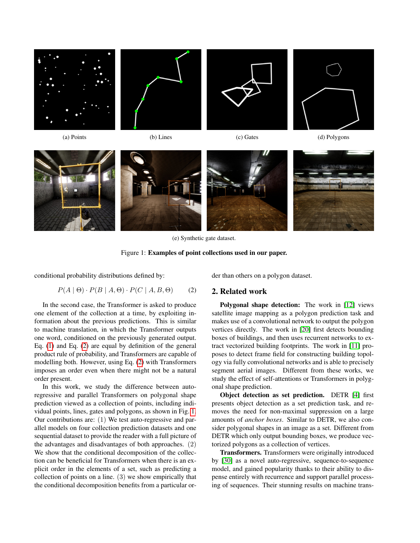<span id="page-1-1"></span>

<span id="page-1-0"></span>(e) Synthetic gate dataset.



conditional probability distributions defined by:

$$
P(A | \Theta) \cdot P(B | A, \Theta) \cdot P(C | A, B, \Theta) \tag{2}
$$

In the second case, the Transformer is asked to produce one element of the collection at a time, by exploiting information about the previous predictions. This is similar to machine translation, in which the Transformer outputs one word, conditioned on the previously generated output. Eq. [\(1\)](#page-0-0) and Eq. [\(2\)](#page-1-0) are equal by definition of the general product rule of probability, and Transformers are capable of modelling both. However, using Eq. [\(2\)](#page-1-0) with Transformers imposes an order even when there might not be a natural order present.

In this work, we study the difference between autoregressive and parallel Transformers on polygonal shape prediction viewed as a collection of points, including individual points, lines, gates and polygons, as shown in Fig. [1.](#page-1-1) Our contributions are: (1) We test auto-regressive and parallel models on four collection prediction datasets and one sequential dataset to provide the reader with a full picture of the advantages and disadvantages of both approaches. (2) We show that the conditional decomposition of the collection can be beneficial for Transformers when there is an explicit order in the elements of a set, such as predicting a collection of points on a line. (3) we show empirically that the conditional decomposition benefits from a particular order than others on a polygon dataset.

## 2. Related work

Polygonal shape detection: The work in [\[12\]](#page-8-1) views satellite image mapping as a polygon prediction task and makes use of a convolutional network to output the polygon vertices directly. The work in [\[20\]](#page-8-3) first detects bounding boxes of buildings, and then uses recurrent networks to extract vectorized building footprints. The work in [\[11\]](#page-8-0) proposes to detect frame field for constructing building topology via fully convolutional networks and is able to precisely segment aerial images. Different from these works, we study the effect of self-attentions or Transformers in polygonal shape prediction.

Object detection as set prediction. DETR [\[4\]](#page-7-0) first presents object detection as a set prediction task, and removes the need for non-maximal suppression on a large amounts of *anchor boxes*. Similar to DETR, we also consider polygonal shapes in an image as a set. Different from DETR which only output bounding boxes, we produce vectorized polygons as a collection of vertices.

Transformers. Transformers were originally introduced by [\[30\]](#page-8-10) as a novel auto-regressive, sequence-to-sequence model, and gained popularity thanks to their ability to dispense entirely with recurrence and support parallel processing of sequences. Their stunning results on machine trans-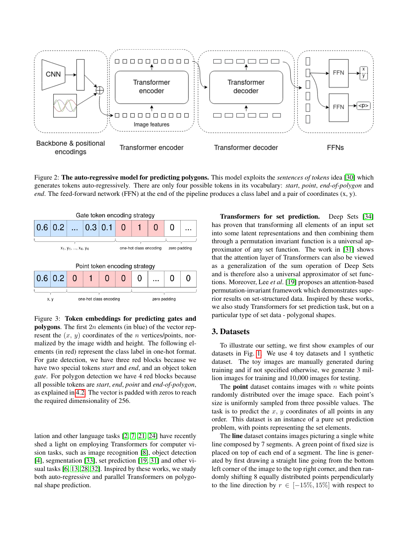<span id="page-2-0"></span>

Figure 2: The auto-regressive model for predicting polygons. This model exploits the *sentences of tokens* idea [\[30\]](#page-8-10) which generates tokens auto-regressively. There are only four possible tokens in its vocabulary: *start*, *point*, *end-of-polygon* and *end*. The feed-forward network (FFN) at the end of the pipeline produces a class label and a pair of coordinates  $(x, y)$ .

<span id="page-2-1"></span>

Figure 3: Token embeddings for predicting gates and **polygons**. The first  $2n$  elements (in blue) of the vector represent the  $(x, y)$  coordinates of the *n* vertices/points, normalized by the image width and height. The following elements (in red) represent the class label in one-hot format. For gate detection, we have three red blocks because we have two special tokens *start* and *end*, and an object token *gate*. For polygon detection we have 4 red blocks because all possible tokens are *start*, *end*, *point* and *end-of-polygon*, as explained in [4.2.](#page-4-0) The vector is padded with zeros to reach the required dimensionality of 256.

lation and other language tasks [\[2,](#page-7-4) [7,](#page-7-5) [21,](#page-8-14) [24\]](#page-8-15) have recently shed a light on employing Transformers for computer vision tasks, such as image recognition [\[8\]](#page-8-16), object detection [\[4\]](#page-7-0), segmentation [\[33\]](#page-8-17), set prediction [\[19,](#page-8-9) [31\]](#page-8-18) and other visual tasks [\[6,](#page-7-6) [13,](#page-8-19) [28,](#page-8-20) [32\]](#page-8-21). Inspired by these works, we study both auto-regressive and parallel Transformers on polygonal shape prediction.

Transformers for set prediction. Deep Sets [\[34\]](#page-8-22) has proven that transforming all elements of an input set into some latent representations and then combining them through a permutation invariant function is a universal approximator of any set function. The work in [\[31\]](#page-8-18) shows that the attention layer of Transformers can also be viewed as a generalization of the sum operation of Deep Sets and is therefore also a universal approximator of set functions. Moreover, Lee *et al*. [\[19\]](#page-8-9) proposes an attention-based permutation-invariant framework which demonstrates superior results on set-structured data. Inspired by these works, we also study Transformers for set prediction task, but on a particular type of set data - polygonal shapes.

# 3. Datasets

To illustrate our setting, we first show examples of our datasets in Fig. [1.](#page-1-1) We use 4 toy datasets and 1 synthetic dataset. The toy images are manually generated during training and if not specified otherwise, we generate 3 million images for training and 10,000 images for testing.

The **point** dataset contains images with  $n$  white points randomly distributed over the image space. Each point's size is uniformly sampled from three possible values. The task is to predict the  $x, y$  coordinates of all points in any order. This dataset is an instance of a pure set prediction problem, with points representing the set elements.

The **line** dataset contains images picturing a single white line composed by 7 segments. A green point of fixed size is placed on top of each end of a segment. The line is generated by first drawing a straight line going from the bottom left corner of the image to the top right corner, and then randomly shifting 8 equally distributed points perpendicularly to the line direction by  $r \in [-15\%, 15\%]$  with respect to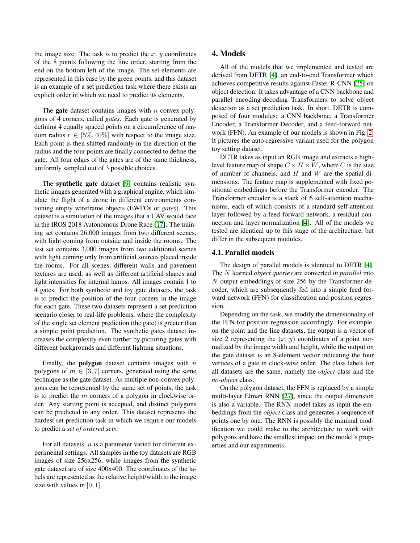the image size. The task is to predict the x,  $y$  coordinates of the 8 points following the line order, starting from the end on the bottom left of the image. The set elements are represented in this case by the green points, and this dataset is an example of a set prediction task where there exists an explicit order in which we need to predict its elements.

The **gate** dataset contains images with  $n$  convex polygons of 4 corners, called *gates*. Each gate is generated by defining 4 equally spaced points on a circumference of random radius  $r \in [5\%, 40\%]$  with respect to the image size. Each point is then shifted randomly in the direction of the radius and the four points are finally connected to define the gate. All four edges of the gates are of the same thickness, uniformly sampled out of 3 possible choices.

The synthetic gate dataset [\[9\]](#page-8-23) contains realistic synthetic images generated with a graphical engine, which simulate the flight of a drone in different environments containing empty wireframe objects (EWFOs or *gates*). This dataset is a simulation of the images that a UAV would face in the IROS 2018 Autonomous Drone Race [\[17\]](#page-8-4). The training set contains 26,000 images from two different scenes, with light coming from outside and inside the rooms. The test set contains 3,000 images from two additional scenes with light coming only from artificial sources placed inside the rooms. For all scenes, different walls and pavement textures are used, as well as different artificial shapes and light intensities for internal lamps. All images contain 1 to 4 gates. For both synthetic and toy gate datasets, the task is to predict the position of the four corners in the image for each gate. These two datasets represent a set prediction scenario closer to real-life problems, where the complexity of the single set element prediction (the gate) is greater than a simple point prediction. The synthetic gates dataset increases the complexity even further by picturing gates with different backgrounds and different lighting situations.

Finally, the **polygon** dataset contains images with  $n$ polygons of  $m \in [3, 7]$  corners, generated using the same technique as the gate dataset. As multiple non-convex polygons can be represented by the same set of points, the task is to predict the  $m$  corners of a polygon in clockwise order. Any starting point is accepted, and distinct polygons can be predicted in any order. This dataset represents the hardest set prediction task in which we require our models to predict a *set of ordered sets*.

For all datasets,  $n$  is a parameter varied for different experimental settings. All samples in the toy datasets are RGB images of size 256x256, while images from the synthetic gate dataset are of size 400x400. The coordinates of the labels are represented as the relative height/width to the image size with values in [0, 1].

# 4. Models

All of the models that we implemented and tested are derived from DETR [\[4\]](#page-7-0), an end-to-end Transformer which achieves competitive results against Faster R-CNN [\[25\]](#page-8-24) on object detection. It takes advantage of a CNN backbone and parallel encoding-decoding Transformers to solve object detection as a set prediction task. In short, DETR is composed of four modules: a CNN backbone, a Transformer Encoder, a Transformer Decoder, and a feed-forward network (FFN). An example of our models is shown in Fig. [2.](#page-2-0) It pictures the auto-regressive variant used for the polygon toy setting dataset.

DETR takes as input an RGB image and extracts a highlevel feature map of shape  $C \times H \times W$ , where C is the size of number of channels, and  $H$  and  $W$  are the spatial dimensions. The feature map is supplemented with fixed positional embeddings before the Transformer encoder. The Transformer encoder is a stack of 6 self-attention mechanisms, each of which consists of a standard self-attention layer followed by a feed forward network, a residual connection and layer normalization [\[4\]](#page-7-0). All of the models we tested are identical up to this stage of the architecture, but differ in the subsequent modules.

## 4.1. Parallel models

The design of parallel models is identical to DETR [\[4\]](#page-7-0). The N learned *object queries* are converted *in parallel* into N output embeddings of size 256 by the Transformer decoder, which are subsequently fed into a simple feed forward network (FFN) for classification and position regression.

Depending on the task, we modify the dimensionality of the FFN for position regression accordingly. For example, on the point and the line datasets, the output is a vector of size 2 representing the  $(x, y)$  coordinates of a point normalized by the image width and height, while the output on the gate dataset is an 8-element vector indicating the four vertices of a gate in clock-wise order. The class labels for all datasets are the same, namely the *object* class and the *no-object* class.

On the polygon dataset, the FFN is replaced by a simple multi-layer Elman RNN [\[27\]](#page-8-25), since the output dimension is also a variable. The RNN model takes as input the embeddings from the *object* class and generates a sequence of points one by one. The RNN is possibly the minimal modification we could make to the architecture to work with polygons and have the smallest impact on the model's properties and our experiments.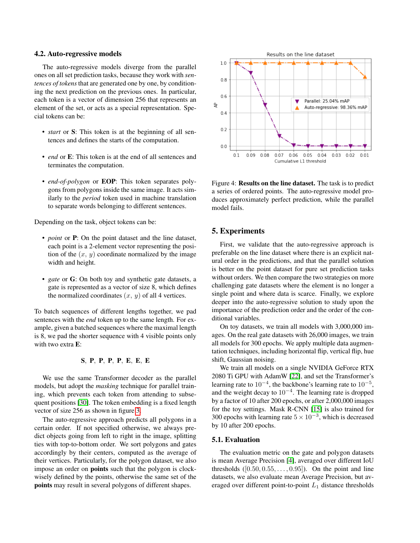#### <span id="page-4-0"></span>4.2. Auto-regressive models

The auto-regressive models diverge from the parallel ones on all set prediction tasks, because they work with *sentences of tokens* that are generated one by one, by conditioning the next prediction on the previous ones. In particular, each token is a vector of dimension 256 that represents an element of the set, or acts as a special representation. Special tokens can be:

- *start* or S: This token is at the beginning of all sentences and defines the starts of the computation.
- *end* or E: This token is at the end of all sentences and terminates the computation.
- *end-of-polygon* or EOP: This token separates polygons from polygons inside the same image. It acts similarly to the *period* token used in machine translation to separate words belonging to different sentences.

Depending on the task, object tokens can be:

- *point* or **P**: On the point dataset and the line dataset, each point is a 2-element vector representing the position of the  $(x, y)$  coordinate normalized by the image width and height.
- *gate* or **G**: On both toy and synthetic gate datasets, a gate is represented as a vector of size 8, which defines the normalized coordinates  $(x, y)$  of all 4 vertices.

To batch sequences of different lengths together, we pad sentences with the *end* token up to the same length. For example, given a batched sequences where the maximal length is 8, we pad the shorter sequence with 4 visible points only with two extra E:

## $\textbf{S},\;\textbf {P},\;\textbf {P},\;\textbf {P},\;\textbf {P},\;\textbf {E},\;\textbf {E},\;\textbf {E},\;\textbf {E}$

We use the same Transformer decoder as the parallel models, but adopt the *masking* technique for parallel training, which prevents each token from attending to subsequent positions [\[30\]](#page-8-10). The token embedding is a fixed length vector of size 256 as shown in figure [3.](#page-2-1)

The auto-regressive approach predicts all polygons in a certain order. If not specified otherwise, we always predict objects going from left to right in the image, splitting ties with top-to-bottom order. We sort polygons and gates accordingly by their centers, computed as the average of their vertices. Particularly, for the polygon dataset, we also impose an order on points such that the polygon is clockwisely defined by the points, otherwise the same set of the points may result in several polygons of different shapes.

<span id="page-4-1"></span>

Figure 4: Results on the line dataset. The task is to predict a series of ordered points. The auto-regressive model produces approximately perfect prediction, while the parallel model fails.

## 5. Experiments

First, we validate that the auto-regressive approach is preferable on the line dataset where there is an explicit natural order in the predictions, and that the parallel solution is better on the point dataset for pure set prediction tasks without orders. We then compare the two strategies on more challenging gate datasets where the element is no longer a single point and where data is scarce. Finally, we explore deeper into the auto-regressive solution to study upon the importance of the prediction order and the order of the conditional variables.

On toy datasets, we train all models with 3,000,000 images. On the real gate datasets with 26,000 images, we train all models for 300 epochs. We apply multiple data augmentation techniques, including horizontal flip, vertical flip, hue shift, Gaussian noising.

We train all models on a single NVIDIA GeForce RTX 2080 Ti GPU with AdamW [\[22\]](#page-8-26), and set the Transformer's learning rate to  $10^{-4}$ , the backbone's learning rate to  $10^{-5}$ , and the weight decay to  $10^{-4}$ . The learning rate is dropped by a factor of 10 after 200 epochs, or after 2,000,000 images for the toy settings. Mask R-CNN [\[15\]](#page-8-27) is also trained for 300 epochs with learning rate  $5 \times 10^{-3}$ , which is decreased by 10 after 200 epochs.

#### 5.1. Evaluation

The evaluation metric on the gate and polygon datasets is mean Average Precision [\[4\]](#page-7-0), averaged over different IoU thresholds  $([0.50, 0.55, \ldots, 0.95])$ . On the point and line datasets, we also evaluate mean Average Precision, but averaged over different point-to-point  $L_1$  distance thresholds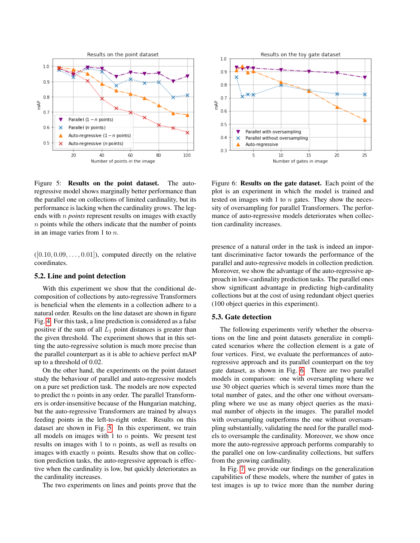<span id="page-5-0"></span>

Figure 5: Results on the point dataset. The autoregressive model shows marginally better performance than the parallel one on collections of limited cardinality, but its performance is lacking when the cardinality grows. The legends with n *points* represent results on images with exactly  $n$  points while the others indicate that the number of points in an image varies from 1 to n.

 $([0.10, 0.09, \ldots, 0.01])$ , computed directly on the relative coordinates.

#### 5.2. Line and point detection

With this experiment we show that the conditional decomposition of collections by auto-regressive Transformers is beneficial when the elements in a collection adhere to a natural order. Results on the line dataset are shown in figure Fig. [4.](#page-4-1) For this task, a line prediction is considered as a false positive if the sum of all  $L_1$  point distances is greater than the given threshold. The experiment shows that in this setting the auto-regressive solution is much more precise than the parallel counterpart as it is able to achieve perfect mAP up to a threshold of 0.02.

On the other hand, the experiments on the point dataset study the behaviour of parallel and auto-regressive models on a pure set prediction task. The models are now expected to predict the  $n$  points in any order. The parallel Transformers is order-insensitive because of the Hungarian matching, but the auto-regressive Transformers are trained by always feeding points in the left-to-right order. Results on this dataset are shown in Fig. [5.](#page-5-0) In this experiment, we train all models on images with 1 to  $n$  points. We present test results on images with 1 to n points, as well as results on images with exactly  $n$  points. Results show that on collection prediction tasks, the auto-regressive approach is effective when the cardinality is low, but quickly deteriorates as the cardinality increases.

The two experiments on lines and points prove that the

<span id="page-5-1"></span>

Figure 6: Results on the gate dataset. Each point of the plot is an experiment in which the model is trained and tested on images with 1 to  $n$  gates. They show the necessity of oversampling for parallel Transformers. The performance of auto-regressive models deteriorates when collection cardinality increases.

presence of a natural order in the task is indeed an important discriminative factor towards the performance of the parallel and auto-regressive models in collection prediction. Moreover, we show the advantage of the auto-regressive approach in low-cardinality prediction tasks. The parallel ones show significant advantage in predicting high-cardinality collections but at the cost of using redundant object queries (100 object queries in this experiment).

## 5.3. Gate detection

The following experiments verify whether the observations on the line and point datasets generalize in complicated scenarios where the collection element is a gate of four vertices. First, we evaluate the performances of autoregressive approach and its parallel counterpart on the toy gate dataset, as shown in Fig. [6.](#page-5-1) There are two parallel models in comparison: one with oversampling where we use 30 object queries which is several times more than the total number of gates, and the other one without oversampling where we use as many object queries as the maximal number of objects in the images. The parallel model with oversampling outperforms the one without oversampling substantially, validating the need for the parallel models to oversample the cardinality. Moreover, we show once more the auto-regressive approach performs comparably to the parallel one on low-cardinality collections, but suffers from the growing cardinality.

In Fig. [7,](#page-6-0) we provide our findings on the generalization capabilities of these models, where the number of gates in test images is up to twice more than the number during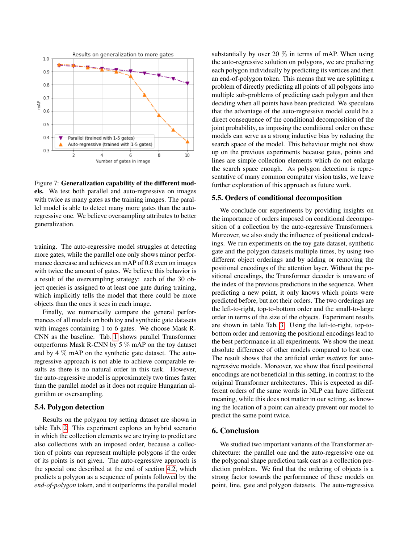<span id="page-6-0"></span>

Figure 7: Generalization capability of the different models. We test both parallel and auto-regressive on images with twice as many gates as the training images. The parallel model is able to detect many more gates than the autoregressive one. We believe oversampling attributes to better generalization.

training. The auto-regressive model struggles at detecting more gates, while the parallel one only shows minor performance decrease and achieves an mAP of 0.8 even on images with twice the amount of gates. We believe this behavior is a result of the oversampling strategy: each of the 30 object queries is assigned to at least one gate during training, which implicitly tells the model that there could be more objects than the ones it sees in each image.

Finally, we numerically compare the general performances of all models on both toy and synthetic gate datasets with images containing 1 to 6 gates. We choose Mask R-CNN as the baseline. Tab. [1](#page-7-7) shows parallel Transformer outperforms Mask R-CNN by 5  $\%$  mAP on the toy dataset and by 4 % mAP on the synthetic gate dataset. The autoregressive approach is not able to achieve comparable results as there is no natural order in this task. However, the auto-regressive model is approximately two times faster than the parallel model as it does not require Hungarian algorithm or oversampling.

# 5.4. Polygon detection

Results on the polygon toy setting dataset are shown in table Tab. [2.](#page-7-8) This experiment explores an hybrid scenario in which the collection elements we are trying to predict are also collections with an imposed order, because a collection of points can represent multiple polygons if the order of its points is not given. The auto-regressive approach is the special one described at the end of section [4.2,](#page-4-0) which predicts a polygon as a sequence of points followed by the *end-of-polygon* token, and it outperforms the parallel model substantially by over 20  $\%$  in terms of mAP. When using the auto-regressive solution on polygons, we are predicting each polygon individually by predicting its vertices and then an end-of-polygon token. This means that we are splitting a problem of directly predicting all points of all polygons into multiple sub-problems of predicting each polygon and then deciding when all points have been predicted. We speculate that the advantage of the auto-regressive model could be a direct consequence of the conditional decomposition of the joint probability, as imposing the conditional order on these models can serve as a strong inductive bias by reducing the search space of the model. This behaviour might not show up on the previous experiments because gates, points and lines are simple collection elements which do not enlarge the search space enough. As polygon detection is representative of many common computer vision tasks, we leave further exploration of this approach as future work.

#### 5.5. Orders of conditional decomposition

We conclude our experiments by providing insights on the importance of orders imposed on conditional decomposition of a collection by the auto-regressive Transformers. Moreover, we also study the influence of positional endcodings. We run experiments on the toy gate dataset, synthetic gate and the polygon datasets multiple times, by using two different object orderings and by adding or removing the positional encodings of the attention layer. Without the positional encodings, the Transformer decoder is unaware of the index of the previous predictions in the sequence. When predicting a new point, it only knows which points were predicted before, but not their orders. The two orderings are the left-to-right, top-to-bottom order and the small-to-large order in terms of the size of the objects. Experiment results are shown in table Tab. [3.](#page-7-9) Using the left-to-right, top-tobottom order and removing the positional encodings lead to the best performance in all experiments. We show the mean absolute difference of other models compared to best one. The result shows that the artificial order *matters* for autoregressive models. Moreover, we show that fixed positional encodings are not beneficial in this setting, in contrast to the original Transformer architectures. This is expected as different orders of the same words in NLP can have different meaning, while this does not matter in our setting, as knowing the location of a point can already prevent our model to predict the same point twice.

## 6. Conclusion

We studied two important variants of the Transformer architecture: the parallel one and the auto-regressive one on the polygonal shape prediction task cast as a collection prediction problem. We find that the ordering of objects is a strong factor towards the performance of these models on point, line, gate and polygon datasets. The auto-regressive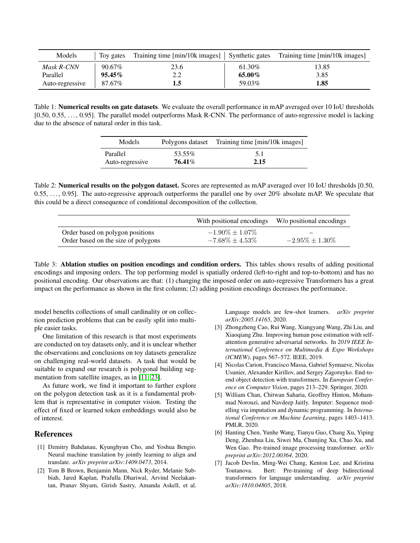<span id="page-7-7"></span>

| Models          | Toy gates | Training time $[\text{min}/10k \text{ images}]$ Synthetic gates |        | Training time [min/10k images] |
|-----------------|-----------|-----------------------------------------------------------------|--------|--------------------------------|
| Mask R-CNN      | 90.67%    | 23.6                                                            | 61.30% | 13.85                          |
| Parallel        | $95.45\%$ | າ າ                                                             | 65.00% | 3.85                           |
| Auto-regressive | 87.67%    | 1.5                                                             | 59.03% | 1.85                           |

<span id="page-7-8"></span>Table 1: **Numerical results on gate datasets**. We evaluate the overall performance in mAP averaged over 10 IoU thresholds [0.50, 0.55, ..., 0.95]. The parallel model outperforms Mask R-CNN. The performance of auto-regressive model is lacking due to the absence of natural order in this task.

| Models          |        | Polygons dataset Training time [min/10k images] |
|-----------------|--------|-------------------------------------------------|
| Parallel        | 53.55% | 5.1                                             |
| Auto-regressive | 76.41% | 2.15                                            |

Table 2: **Numerical results on the polygon dataset.** Scores are represented as mAP averaged over 10 IoU thresholds [0.50,  $0.55, \ldots, 0.95$ . The auto-regressive approach outperforms the parallel one by over  $20\%$  absolute mAP. We speculate that this could be a direct consequence of conditional decomposition of the collection.

<span id="page-7-9"></span>

|                                     | With positional encodings W/o positional encodings |                          |
|-------------------------------------|----------------------------------------------------|--------------------------|
| Order based on polygon positions    | $-1.90\% \pm 1.07\%$                               | $\overline{\phantom{a}}$ |
| Order based on the size of polygons | $-7.68\% \pm 4.53\%$                               | $-2.95\% \pm 1.30\%$     |

Table 3: Ablation studies on position encodings and condition orders. This tables shows results of adding positional encodings and imposing orders. The top performing model is spatially ordered (left-to-right and top-to-bottom) and has no positional encoding. Our observations are that: (1) changing the imposed order on auto-regressive Transformers has a great impact on the performance as shown in the first column; (2) adding position encodings decreases the performance.

model benefits collections of small cardinality or on collection prediction problems that can be easily split into multiple easier tasks.

One limitation of this research is that most experiments are conducted on toy datasets only, and it is unclear whether the observations and conclusions on toy datasets generalize on challenging real-world datasets. A task that would be suitable to expand our research is polygonal building segmentation from satellite images, as in [\[11,](#page-8-0) [23\]](#page-8-28).

As future work, we find it important to further explore on the polygon detection task as it is a fundamental problem that is representative in computer vision. Testing the effect of fixed or learned token embeddings would also be of interest.

## References

- <span id="page-7-2"></span>[1] Dzmitry Bahdanau, Kyunghyun Cho, and Yoshua Bengio. Neural machine translation by jointly learning to align and translate. *arXiv preprint arXiv:1409.0473*, 2014.
- <span id="page-7-4"></span>[2] Tom B Brown, Benjamin Mann, Nick Ryder, Melanie Subbiah, Jared Kaplan, Prafulla Dhariwal, Arvind Neelakantan, Pranav Shyam, Girish Sastry, Amanda Askell, et al.

Language models are few-shot learners. *arXiv preprint arXiv:2005.14165*, 2020.

- <span id="page-7-1"></span>[3] Zhongzheng Cao, Rui Wang, Xiangyang Wang, Zhi Liu, and Xiaoqiang Zhu. Improving human pose estimation with selfattention generative adversarial networks. In *2019 IEEE International Conference on Multimedia & Expo Workshops (ICMEW)*, pages 567–572. IEEE, 2019.
- <span id="page-7-0"></span>[4] Nicolas Carion, Francisco Massa, Gabriel Synnaeve, Nicolas Usunier, Alexander Kirillov, and Sergey Zagoruyko. End-toend object detection with transformers. In *European Conference on Computer Vision*, pages 213–229. Springer, 2020.
- <span id="page-7-3"></span>[5] William Chan, Chitwan Saharia, Geoffrey Hinton, Mohammad Norouzi, and Navdeep Jaitly. Imputer: Sequence modelling via imputation and dynamic programming. In *International Conference on Machine Learning*, pages 1403–1413. PMLR, 2020.
- <span id="page-7-6"></span>[6] Hanting Chen, Yunhe Wang, Tianyu Guo, Chang Xu, Yiping Deng, Zhenhua Liu, Siwei Ma, Chunjing Xu, Chao Xu, and Wen Gao. Pre-trained image processing transformer. *arXiv preprint arXiv:2012.00364*, 2020.
- <span id="page-7-5"></span>[7] Jacob Devlin, Ming-Wei Chang, Kenton Lee, and Kristina Toutanova. Bert: Pre-training of deep bidirectional transformers for language understanding. *arXiv preprint arXiv:1810.04805*, 2018.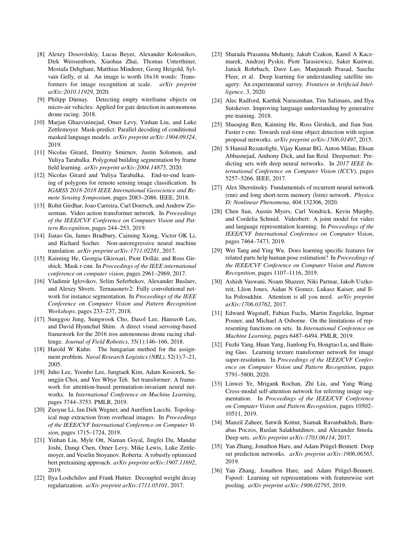- <span id="page-8-16"></span>[8] Alexey Dosovitskiy, Lucas Beyer, Alexander Kolesnikov, Dirk Weissenborn, Xiaohua Zhai, Thomas Unterthiner, Mostafa Dehghani, Matthias Minderer, Georg Heigold, Sylvain Gelly, et al. An image is worth 16x16 words: Transformers for image recognition at scale. *arXiv preprint arXiv:2010.11929*, 2020.
- <span id="page-8-23"></span>[9] Philipp Dürnay. Detecting empty wireframe objects on micro-air vehicles: Applied for gate detection in autonomous drone racing. 2018.
- <span id="page-8-11"></span>[10] Marjan Ghazvininejad, Omer Levy, Yinhan Liu, and Luke Zettlemoyer. Mask-predict: Parallel decoding of conditional masked language models. *arXiv preprint arXiv:1904.09324*, 2019.
- <span id="page-8-0"></span>[11] Nicolas Girard, Dmitriy Smirnov, Justin Solomon, and Yuliya Tarabalka. Polygonal building segmentation by frame field learning. *arXiv preprint arXiv:2004.14875*, 2020.
- <span id="page-8-1"></span>[12] Nicolas Girard and Yuliya Tarabalka. End-to-end learning of polygons for remote sensing image classification. In *IGARSS 2018-2018 IEEE International Geoscience and Remote Sensing Symposium*, pages 2083–2086. IEEE, 2018.
- <span id="page-8-19"></span>[13] Rohit Girdhar, Joao Carreira, Carl Doersch, and Andrew Zisserman. Video action transformer network. In *Proceedings of the IEEE/CVF Conference on Computer Vision and Pattern Recognition*, pages 244–253, 2019.
- <span id="page-8-12"></span>[14] Jiatao Gu, James Bradbury, Caiming Xiong, Victor OK Li, and Richard Socher. Non-autoregressive neural machine translation. *arXiv preprint arXiv:1711.02281*, 2017.
- <span id="page-8-27"></span>[15] Kaiming He, Georgia Gkioxari, Piotr Dollár, and Ross Girshick. Mask r-cnn. In *Proceedings of the IEEE international conference on computer vision*, pages 2961–2969, 2017.
- <span id="page-8-2"></span>[16] Vladimir Iglovikov, Selim Seferbekov, Alexander Buslaev, and Alexey Shvets. Ternausnetv2: Fully convolutional network for instance segmentation. In *Proceedings of the IEEE Conference on Computer Vision and Pattern Recognition Workshops*, pages 233–237, 2018.
- <span id="page-8-4"></span>[17] Sunggoo Jung, Sungwook Cho, Dasol Lee, Hanseob Lee, and David Hyunchul Shim. A direct visual servoing-based framework for the 2016 iros autonomous drone racing challenge. *Journal of Field Robotics*, 35(1):146–166, 2018.
- <span id="page-8-13"></span>[18] Harold W Kuhn. The hungarian method for the assignment problem. *Naval Research Logistics (NRL)*, 52(1):7–21, 2005.
- <span id="page-8-9"></span>[19] Juho Lee, Yoonho Lee, Jungtaek Kim, Adam Kosiorek, Seungjin Choi, and Yee Whye Teh. Set transformer: A framework for attention-based permutation-invariant neural networks. In *International Conference on Machine Learning*, pages 3744–3753. PMLR, 2019.
- <span id="page-8-3"></span>[20] Zuoyue Li, Jan Dirk Wegner, and Aurélien Lucchi. Topological map extraction from overhead images. In *Proceedings of the IEEE/CVF International Conference on Computer Vision*, pages 1715–1724, 2019.
- <span id="page-8-14"></span>[21] Yinhan Liu, Myle Ott, Naman Goyal, Jingfei Du, Mandar Joshi, Danqi Chen, Omer Levy, Mike Lewis, Luke Zettlemoyer, and Veselin Stoyanov. Roberta: A robustly optimized bert pretraining approach. *arXiv preprint arXiv:1907.11692*, 2019.
- <span id="page-8-26"></span>[22] Ilya Loshchilov and Frank Hutter. Decoupled weight decay regularization. *arXiv preprint arXiv:1711.05101*, 2017.
- <span id="page-8-28"></span>[23] Sharada Prasanna Mohanty, Jakub Czakon, Kamil A Kaczmarek, Andrzej Pyskir, Piotr Tarasiewicz, Saket Kunwar, Janick Rohrbach, Dave Luo, Manjunath Prasad, Sascha Fleer, et al. Deep learning for understanding satellite imagery: An experimental survey. *Frontiers in Artificial Intelligence*, 3, 2020.
- <span id="page-8-15"></span>[24] Alec Radford, Karthik Narasimhan, Tim Salimans, and Ilya Sutskever. Improving language understanding by generative pre-training. 2018.
- <span id="page-8-24"></span>[25] Shaoqing Ren, Kaiming He, Ross Girshick, and Jian Sun. Faster r-cnn: Towards real-time object detection with region proposal networks. *arXiv preprint arXiv:1506.01497*, 2015.
- <span id="page-8-8"></span>[26] S Hamid Rezatofighi, Vijay Kumar BG, Anton Milan, Ehsan Abbasnejad, Anthony Dick, and Ian Reid. Deepsetnet: Predicting sets with deep neural networks. In *2017 IEEE International Conference on Computer Vision (ICCV)*, pages 5257–5266. IEEE, 2017.
- <span id="page-8-25"></span>[27] Alex Sherstinsky. Fundamentals of recurrent neural network (rnn) and long short-term memory (lstm) network. *Physica D: Nonlinear Phenomena*, 404:132306, 2020.
- <span id="page-8-20"></span>[28] Chen Sun, Austin Myers, Carl Vondrick, Kevin Murphy, and Cordelia Schmid. Videobert: A joint model for video and language representation learning. In *Proceedings of the IEEE/CVF International Conference on Computer Vision*, pages 7464–7473, 2019.
- <span id="page-8-7"></span>[29] Wei Tang and Ying Wu. Does learning specific features for related parts help human pose estimation? In *Proceedings of the IEEE/CVF Conference on Computer Vision and Pattern Recognition*, pages 1107–1116, 2019.
- <span id="page-8-10"></span>[30] Ashish Vaswani, Noam Shazeer, Niki Parmar, Jakob Uszkoreit, Llion Jones, Aidan N Gomez, Lukasz Kaiser, and Illia Polosukhin. Attention is all you need. *arXiv preprint arXiv:1706.03762*, 2017.
- <span id="page-8-18"></span>[31] Edward Wagstaff, Fabian Fuchs, Martin Engelcke, Ingmar Posner, and Michael A Osborne. On the limitations of representing functions on sets. In *International Conference on Machine Learning*, pages 6487–6494. PMLR, 2019.
- <span id="page-8-21"></span>[32] Fuzhi Yang, Huan Yang, Jianlong Fu, Hongtao Lu, and Baining Guo. Learning texture transformer network for image super-resolution. In *Proceedings of the IEEE/CVF Conference on Computer Vision and Pattern Recognition*, pages 5791–5800, 2020.
- <span id="page-8-17"></span>[33] Linwei Ye, Mrigank Rochan, Zhi Liu, and Yang Wang. Cross-modal self-attention network for referring image segmentation. In *Proceedings of the IEEE/CVF Conference on Computer Vision and Pattern Recognition*, pages 10502– 10511, 2019.
- <span id="page-8-22"></span>[34] Manzil Zaheer, Satwik Kottur, Siamak Ravanbakhsh, Barnabas Poczos, Ruslan Salakhutdinov, and Alexander Smola. Deep sets. *arXiv preprint arXiv:1703.06114*, 2017.
- <span id="page-8-6"></span>[35] Yan Zhang, Jonathon Hare, and Adam Prügel-Bennett. Deep set prediction networks. *arXiv preprint arXiv:1906.06565*, 2019.
- <span id="page-8-5"></span>[36] Yan Zhang, Jonathon Hare, and Adam Prügel-Bennett. Fspool: Learning set representations with featurewise sort pooling. *arXiv preprint arXiv:1906.02795*, 2019.